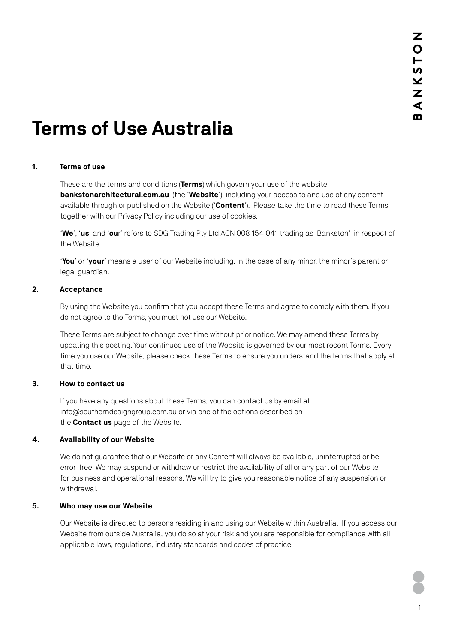# **Terms of Use Australia**

# **1. Terms of use**

These are the terms and conditions (**Terms**) which govern your use of the website **[bankstonarchitectural.com.au](http://bankstonarchitectural.com.au)** (the '**Website**'), including your access to and use of any content available through or published on the Website ('**Content**'). Please take the time to read these Terms together with our Privacy Policy including our use of cookies.

'**We**', '**us**' and '**ou**r' refers to SDG Trading Pty Ltd ACN 008 154 041 trading as 'Bankston' in respect of the Website.

'**You**' or '**your**' means a user of our Website including, in the case of any minor, the minor's parent or legal guardian.

## **2. Acceptance**

By using the Website you confirm that you accept these Terms and agree to comply with them. If you do not agree to the Terms, you must not use our Website.

These Terms are subject to change over time without prior notice. We may amend these Terms by updating this posting. Your continued use of the Website is governed by our most recent Terms. Every time you use our Website, please check these Terms to ensure you understand the terms that apply at that time.

#### **3. How to contact us**

If you have any questions about these Terms, you can contact us by email at [info@southerndesigngroup.com.au](mailto:info@southerndesigngroup.com.au) or via one of the options described on the **[Contact us](https://www.bankstonarchitectural.com.au/contact/)** page of the Website.

#### **4. Availability of our Website**

We do not guarantee that our Website or any Content will always be available, uninterrupted or be error-free. We may suspend or withdraw or restrict the availability of all or any part of our Website for business and operational reasons. We will try to give you reasonable notice of any suspension or withdrawal.

#### **5. Who may use our Website**

Our Website is directed to persons residing in and using our Website within Australia. If you access our Website from outside Australia, you do so at your risk and you are responsible for compliance with all applicable laws, regulations, industry standards and codes of practice.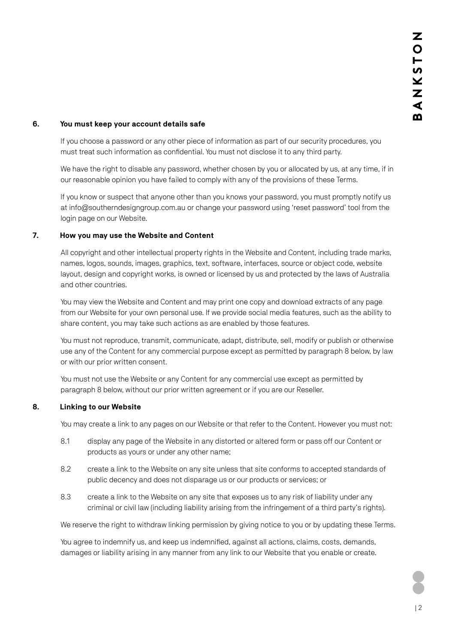## **6. You must keep your account details safe**

If you choose a password or any other piece of information as part of our security procedures, you must treat such information as confidential. You must not disclose it to any third party.

We have the right to disable any password, whether chosen by you or allocated by us, at any time, if in our reasonable opinion you have failed to comply with any of the provisions of these Terms.

If you know or suspect that anyone other than you knows your password, you must promptly notify us at [info@southerndesigngroup.com.au](mailto:info@southerndesigngroup.com.au) or change your password using 'reset password' tool from the login page on our Website.

# **7. How you may use the Website and Content**

All copyright and other intellectual property rights in the Website and Content, including trade marks, names, logos, sounds, images, graphics, text, software, interfaces, source or object code, website layout, design and copyright works, is owned or licensed by us and protected by the laws of Australia and other countries.

You may view the Website and Content and may print one copy and download extracts of any page from our Website for your own personal use. If we provide social media features, such as the ability to share content, you may take such actions as are enabled by those features.

You must not reproduce, transmit, communicate, adapt, distribute, sell, modify or publish or otherwise use any of the Content for any commercial purpose except as permitted by paragraph 8 below, by law or with our prior written consent.

You must not use the Website or any Content for any commercial use except as permitted by paragraph 8 below, without our prior written agreement or if you are our Reseller.

## **8. Linking to our Website**

You may create a link to any pages on our Website or that refer to the Content. However you must not:

- 8.1 display any page of the Website in any distorted or altered form or pass off our Content or products as yours or under any other name;
- 8.2 create a link to the Website on any site unless that site conforms to accepted standards of public decency and does not disparage us or our products or services; or
- 8.3 create a link to the Website on any site that exposes us to any risk of liability under any criminal or civil law (including liability arising from the infringement of a third party's rights).

We reserve the right to withdraw linking permission by giving notice to you or by updating these Terms.

You agree to indemnify us, and keep us indemnified, against all actions, claims, costs, demands, damages or liability arising in any manner from any link to our Website that you enable or create.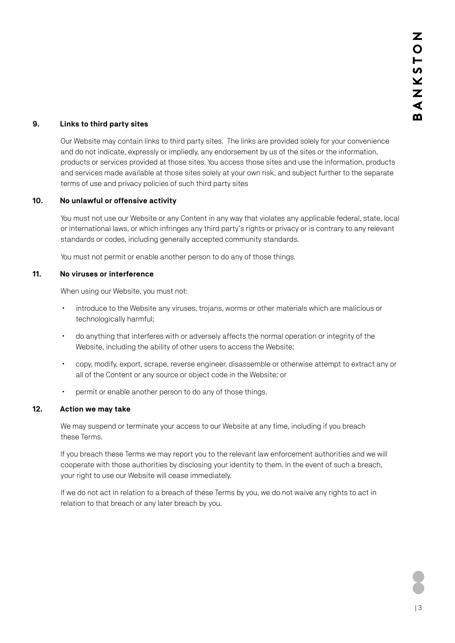# **9. Links to third party sites**

Our Website may contain links to third party sites. The links are provided solely for your convenience and do not indicate, expressly or impliedly, any endorsement by us of the sites or the information, products or services provided at those sites. You access those sites and use the information, products and services made available at those sites solely at your own risk, and subject further to the separate terms of use and privacy policies of such third party sites

## **10. No unlawful or offensive activity**

You must not use our Website or any Content in any way that violates any applicable federal, state, local or international laws, or which infringes any third party's rights or privacy or is contrary to any relevant standards or codes, including generally accepted community standards.

You must not permit or enable another person to do any of those things.

## **11. No viruses or interference**

When using our Website, you must not:

- introduce to the Website any viruses, trojans, worms or other materials which are malicious or technologically harmful;
- x do anything that interferes with or adversely affects the normal operation or integrity of the Website, including the ability of other users to access the Website;
- x copy, modify, export, scrape, reverse engineer, disassemble or otherwise attempt to extract any or all of the Content or any source or object code in the Website; or
- **•** permit or enable another person to do any of those things.

## **12. Action we may take**

We may suspend or terminate your access to our Website at any time, including if you breach these Terms.

If you breach these Terms we may report you to the relevant law enforcement authorities and we will cooperate with those authorities by disclosing your identity to them. In the event of such a breach, your right to use our Website will cease immediately.

If we do not act in relation to a breach of these Terms by you, we do not waive any rights to act in relation to that breach or any later breach by you.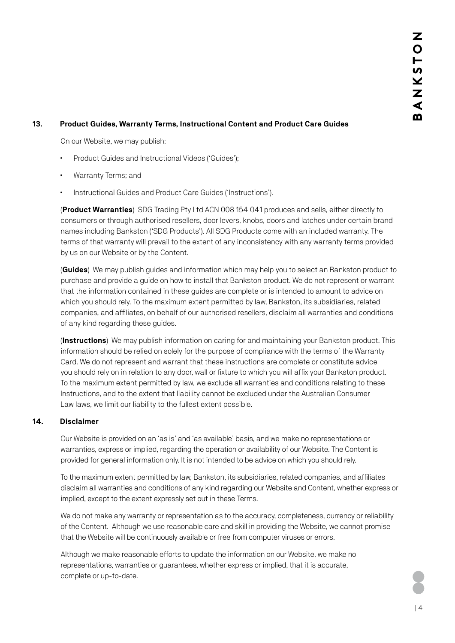## **13. Product Guides, Warranty Terms, Instructional Content and Product Care Guides**

On our Website, we may publish:

- Product Guides and Instructional Videos ('Guides');
- Warranty Terms; and
- Instructional Guides and Product Care Guides ('Instructions').

(**Product Warranties**) SDG Trading Pty Ltd ACN 008 154 041 produces and sells, either directly to consumers or through authorised resellers, door levers, knobs, doors and latches under certain brand names including Bankston ('SDG Products'). All SDG Products come with an included warranty. The terms of that warranty will prevail to the extent of any inconsistency with any warranty terms provided by us on our Website or by the Content.

(**Guides**) We may publish guides and information which may help you to select an Bankston product to purchase and provide a guide on how to install that Bankston product. We do not represent or warrant that the information contained in these guides are complete or is intended to amount to advice on which you should rely. To the maximum extent permitted by law, Bankston, its subsidiaries, related companies, and affiliates, on behalf of our authorised resellers, disclaim all warranties and conditions of any kind regarding these guides.

(**Instructions**) We may publish information on caring for and maintaining your Bankston product. This information should be relied on solely for the purpose of compliance with the terms of the Warranty Card. We do not represent and warrant that these instructions are complete or constitute advice you should rely on in relation to any door, wall or fixture to which you will affix your Bankston product. To the maximum extent permitted by law, we exclude all warranties and conditions relating to these Instructions, and to the extent that liability cannot be excluded under the Australian Consumer Law laws, we limit our liability to the fullest extent possible.

#### **14. Disclaimer**

Our Website is provided on an 'as is' and 'as available' basis, and we make no representations or warranties, express or implied, regarding the operation or availability of our Website. The Content is provided for general information only. It is not intended to be advice on which you should rely.

To the maximum extent permitted by law, Bankston, its subsidiaries, related companies, and affiliates disclaim all warranties and conditions of any kind regarding our Website and Content, whether express or implied, except to the extent expressly set out in these Terms.

We do not make any warranty or representation as to the accuracy, completeness, currency or reliability of the Content. Although we use reasonable care and skill in providing the Website, we cannot promise that the Website will be continuously available or free from computer viruses or errors.

Although we make reasonable efforts to update the information on our Website, we make no representations, warranties or guarantees, whether express or implied, that it is accurate, complete or up-to-date.